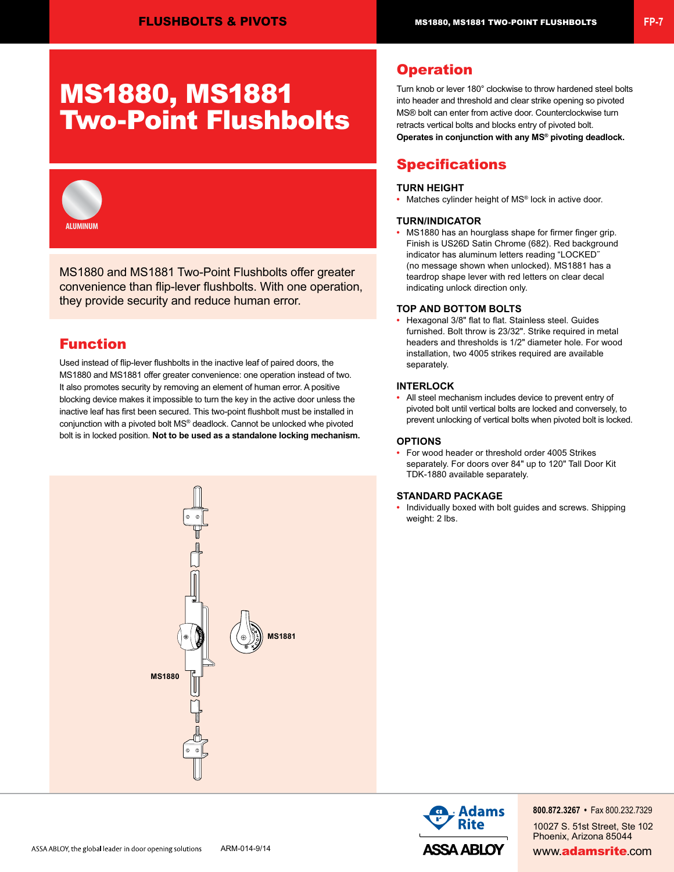# MS1880, MS1881 Two-Point Flushbolts



MS1880 and MS1881 Two-Point Flushbolts offer greater convenience than flip-lever flushbolts. With one operation, they provide security and reduce human error.

# Function

Used instead of flip-lever flushbolts in the inactive leaf of paired doors, the MS1880 and MS1881 offer greater convenience: one operation instead of two. It also promotes security by removing an element of human error. A positive blocking device makes it impossible to turn the key in the active door unless the inactive leaf has first been secured. This two-point flushbolt must be installed in conjunction with a pivoted bolt MS® deadlock. Cannot be unlocked whe pivoted bolt is in locked position. **Not to be used as a standalone locking mechanism.**



## **Operation**

Turn knob or lever 180° clockwise to throw hardened steel bolts into header and threshold and clear strike opening so pivoted MS® bolt can enter from active door. Counterclockwise turn retracts vertical bolts and blocks entry of pivoted bolt. **Operates in conjunction with any MS® pivoting deadlock.**

# **Specifications**

### **TURN HEIGHT**

**•** Matches cylinder height of MS® lock in active door.

#### **TURN/INDICATOR**

**•** MS1880 has an hourglass shape for firmer finger grip. Finish is US26D Satin Chrome (682). Red background indicator has aluminum letters reading "LOCKED˝ (no message shown when unlocked). MS1881 has a teardrop shape lever with red letters on clear decal indicating unlock direction only.

#### **TOP AND BOTTOM BOLTS**

**•** Hexagonal 3/8" flat to flat. Stainless steel. Guides furnished. Bolt throw is 23/32". Strike required in metal headers and thresholds is 1/2" diameter hole. For wood installation, two 4005 strikes required are available separately.

#### **INTERLOCK**

**•** All steel mechanism includes device to prevent entry of pivoted bolt until vertical bolts are locked and conversely, to prevent unlocking of vertical bolts when pivoted bolt is locked.

#### **OPTIONS**

**•** For wood header or threshold order 4005 Strikes separately. For doors over 84" up to 120" Tall Door Kit TDK-1880 available separately.

#### **STANDARD PACKAGE**

**•** Individually boxed with bolt guides and screws. Shipping weight: 2 lbs.



**800.872.3267 •** Fax 800.232.7329 10027 S. 51st Street, Ste 102 Phoenix, Arizona 85044